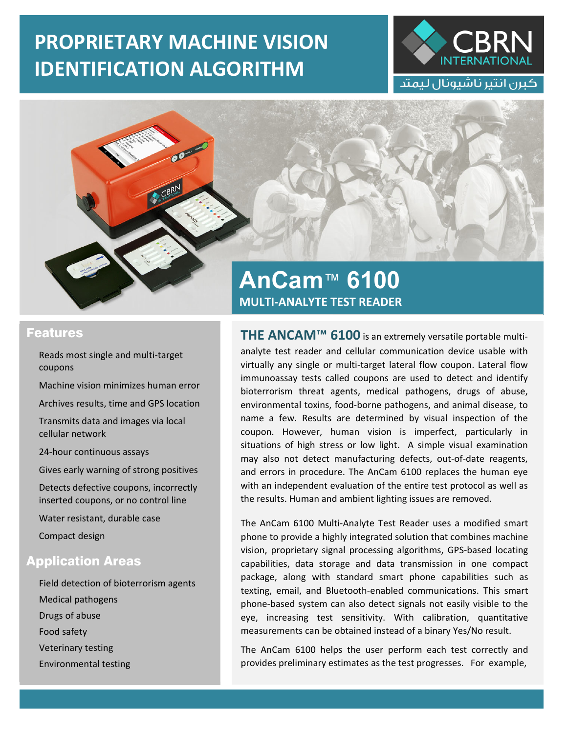## **PROPRIETARY MACHINE VISION IDENTIFICATION ALGORITHM**





## Features

Reads most single and multi‐target coupons

Machine vision minimizes human error

Archives results, time and GPS location

Transmits data and images via local cellular network

24‐hour continuous assays

Gives early warning of strong positives

Detects defective coupons, incorrectly inserted coupons, or no control line

Water resistant, durable case

Compact design

## Application Areas

Field detection of bioterrorism agents Medical pathogens Drugs of abuse Food safety Veterinary testing Environmental testing

## **AnCam**™ **6100 AnCam**™ **6100 MULTI‐ANALYTE TEST READER MULTI‐ANALYTE TEST READER**

**THE ANCAM™ 6100** is an extremely versatile portable multi‐ analyte test reader and cellular communication device usable with virtually any single or multi‐target lateral flow coupon. Lateral flow immunoassay tests called coupons are used to detect and identify bioterrorism threat agents, medical pathogens, drugs of abuse, environmental toxins, food‐borne pathogens, and animal disease, to name a few. Results are determined by visual inspection of the coupon. However, human vision is imperfect, particularly in situations of high stress or low light. A simple visual examination may also not detect manufacturing defects, out-of-date reagents, and errors in procedure. The AnCam 6100 replaces the human eye with an independent evaluation of the entire test protocol as well as the results. Human and ambient lighting issues are removed.

The AnCam 6100 Multi‐Analyte Test Reader uses a modified smart phone to provide a highly integrated solution that combines machine vision, proprietary signal processing algorithms, GPS‐based locating capabilities, data storage and data transmission in one compact package, along with standard smart phone capabilities such as texting, email, and Bluetooth‐enabled communications. This smart phone‐based system can also detect signals not easily visible to the eye, increasing test sensitivity. With calibration, quantitative measurements can be obtained instead of a binary Yes/No result.

The AnCam 6100 helps the user perform each test correctly and provides preliminary estimates as the test progresses. For example,